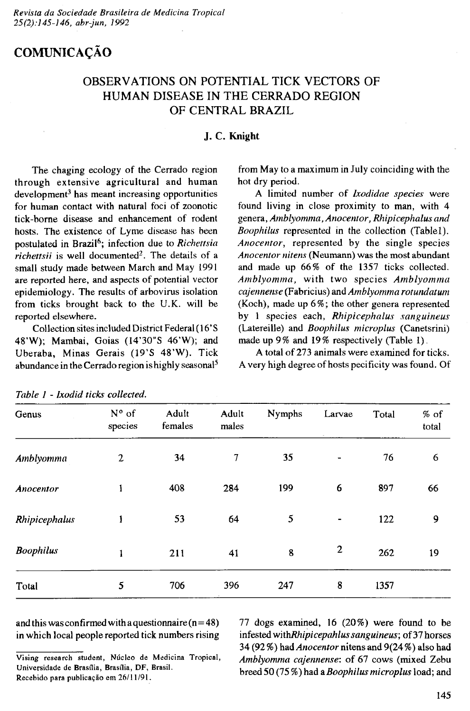# **COMUNICAÇÃO**

## **OBSERVATIONS ON POTENTIAL TICK VECTORS OF HUMAN DISEASE IN THE CERRADO REGION OF CENTRAL BRAZIL**

### **J. C. Knight**

The chaging ecology of the Cerrado region **through extensive agricultural and human development3 has meant increasing opportunities for human contact with natural foci of zoonotic tick-borne disease and enhancement of rodent** hosts. The existence of Lyme disease has been **postulated in Brazil6; infection due to** *Richettsia richettsii* **is well documented2. The details of a small study made between March and May 1991 are reported here, and aspects of potential vector epidemiology. The results of arbovirus isolation from ticks brought back to the U.K. will be reported elsewhere.**

**Collection sites included District Federal (16'S 48'W); Mambai, Goias (14'30"S 46'W); and** Uberaba, Minas Gerais (19'S 48'W). Tick **abundance in the Cerrado region is highly seasonal5**

**from May to a maximum in July coinciding with the hot dry period.**

A limited number of *Ixodidae species* were **found living in close proximity to man, with 4 genera,** *Amblyommci,Anocentor, Rhipicephalus and Boophilus* **represented in the collection (Tablet).** *Anocentor,* **represented by the single species** *Anocentor nitens* **(Neumann) was the most abundant and made up 66% of the 1357 ticks collected.** *A m blyom m a,* **with two species** *A m blyom m a cajennense* **(Fabricius) and** *Amblyomma rotundatum* **(Koch), made up 6%; the other genera represented by 1 species each,** *R hipicephalus sanguineus* **(Latereille) and** *Boophilus microplus* **(Canetsrini) made up 9% and 19% respectively (Table 1).**

**A total of 273 animals were examined for ticks. A very high degree of hosts pecificity was found. Of**

| Genus            | $N^{\circ}$ of<br>species | Adult<br>females | Adult<br>males | <b>Nymphs</b> | Larvae                   | Total | $%$ of<br>total |
|------------------|---------------------------|------------------|----------------|---------------|--------------------------|-------|-----------------|
| Amblyomma        | 2                         | 34               | $\tau$         | 35            | $\overline{\phantom{0}}$ | 76    | 6               |
| Anocentor        | 1                         | 408              | 284            | 199           | $\boldsymbol{6}$         | 897   | 66              |
| Rhipicephalus    | 1                         | 53               | 64             | 5             |                          | 122   | 9               |
| <b>Boophilus</b> | 1                         | 211              | 41             | 8             | $\overline{2}$           | 262   | 19              |
| Total            | 5                         | 706              | 396            | 247           | 8                        | 1357  |                 |

| Table 1 - Ixodid ticks collected. |  |  |  |  |  |
|-----------------------------------|--|--|--|--|--|
|-----------------------------------|--|--|--|--|--|

**and this was confirmed with a questionnaire (n=48) in which local people reported tick numbers rising**

**77 dogs examined, 16 (20%) were found to be infested** *v/ithRhipicepahlus sanguineus;* **of 37 horses 34 (92** *%)* **had** *Anocentor* **nitens and 9(24%) also had** *Amblyomma cajennense*: of 67 cows (mixed Zebu **breed 50 (75 %) had a***Boophilus microplus* **load; and**

Vising research student, Núcleo de Medicina Tropical, Universidade de Brasília, Brasília, DF, Brasil. Recebido para publicação em 26/11/91.